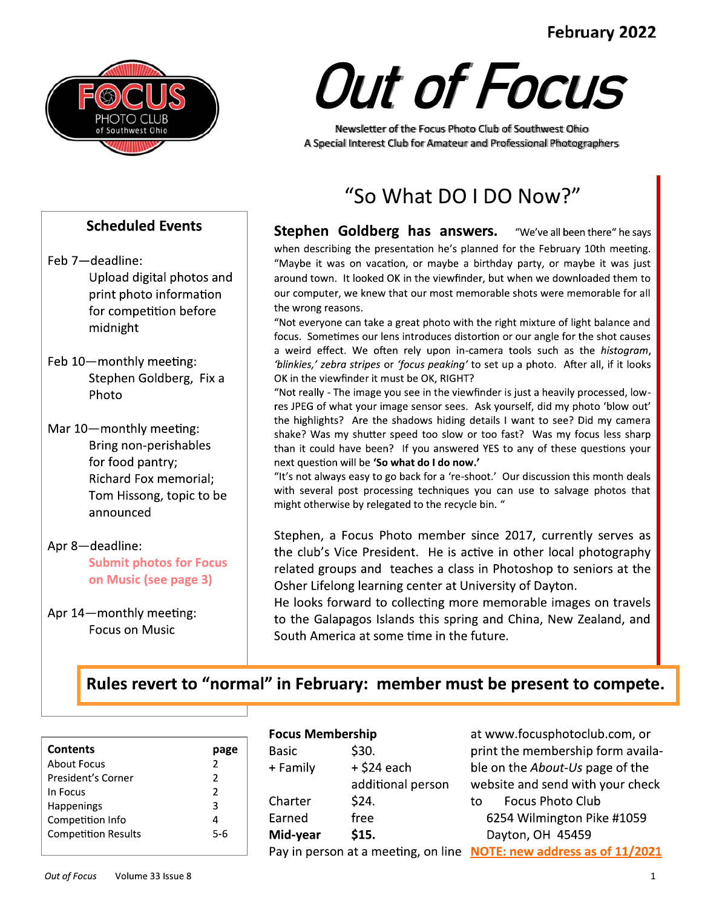### February 2022



**Scheduled Events** 

Upload digital photos and

print photo information

for competition before

Stephen Goldberg, Fix a

Bring non-perishables

Richard Fox memorial;

Tom Hissong, topic to be

**Submit photos for Focus** 

on Music (see page 3)

Feb 7-deadline:

midnight

Photo

Feb 10-monthly meeting:

Mar 10-monthly meeting:

announced

Apr 14-monthly meeting:

**Focus on Music** 

Apr 8-deadline:

for food pantry;

# **Out of Focus**

Newsletter of the Focus Photo Club of Southwest Ohio A Special Interest Club for Amateur and Professional Photographers

## "So What DO I DO Now?"

**Stephen Goldberg has answers.** "We've all been there" he says when describing the presentation he's planned for the February 10th meeting. "Maybe it was on vacation, or maybe a birthday party, or maybe it was just around town. It looked OK in the viewfinder, but when we downloaded them to our computer, we knew that our most memorable shots were memorable for all the wrong reasons.

"Not everyone can take a great photo with the right mixture of light balance and focus. Sometimes our lens introduces distortion or our angle for the shot causes a weird effect. We often rely upon in-camera tools such as the *histogram*, 'blinkies,' zebra stripes or 'focus peaking' to set up a photo. After all, if it looks OK in the viewfinder it must be OK, RIGHT?

"Not really - The image you see in the viewfinder is just a heavily processed, lowres JPEG of what your image sensor sees. Ask yourself, did my photo 'blow out' the highlights? Are the shadows hiding details I want to see? Did my camera shake? Was my shutter speed too slow or too fast? Was my focus less sharp than it could have been? If you answered YES to any of these questions your next question will be 'So what do I do now.'

"It's not always easy to go back for a 're-shoot.' Our discussion this month deals with several post processing techniques you can use to salvage photos that might otherwise by relegated to the recycle bin. "

Stephen, a Focus Photo member since 2017, currently serves as the club's Vice President. He is active in other local photography related groups and teaches a class in Photoshop to seniors at the Osher Lifelong learning center at University of Dayton.

He looks forward to collecting more memorable images on travels to the Galapagos Islands this spring and China, New Zealand, and South America at some time in the future.

## Rules revert to "normal" in February: member must be present to compete.

| <b>Contents</b>            |                |
|----------------------------|----------------|
| About Focus                | 2              |
| President's Corner         | 2              |
| In Focus                   | $\mathfrak{p}$ |
| <b>Happenings</b>          | 3              |
| Competition Info           | 4              |
| <b>Competition Results</b> | 5-6            |
|                            |                |

#### **Focus Membershin**

|             | <b>Focus Membership</b> |                   | at www.focusphotoclub.com, or                                       |
|-------------|-------------------------|-------------------|---------------------------------------------------------------------|
| page        | <b>Basic</b>            | \$30.             | print the membership form availa-                                   |
| $2^{\circ}$ | + Family                | $+$ \$24 each     | ble on the About-Us page of the                                     |
| $2^{\circ}$ |                         | additional person | website and send with your check                                    |
| 2<br>3      | Charter                 | \$24.             | <b>Focus Photo Club</b><br>to                                       |
| 4           | Earned                  | free              | 6254 Wilmington Pike #1059                                          |
| $5-6$       | Mid-year                | \$15.             | Dayton, OH 45459                                                    |
|             |                         |                   | Pay in person at a meeting, on line NOTE: new address as of 11/2021 |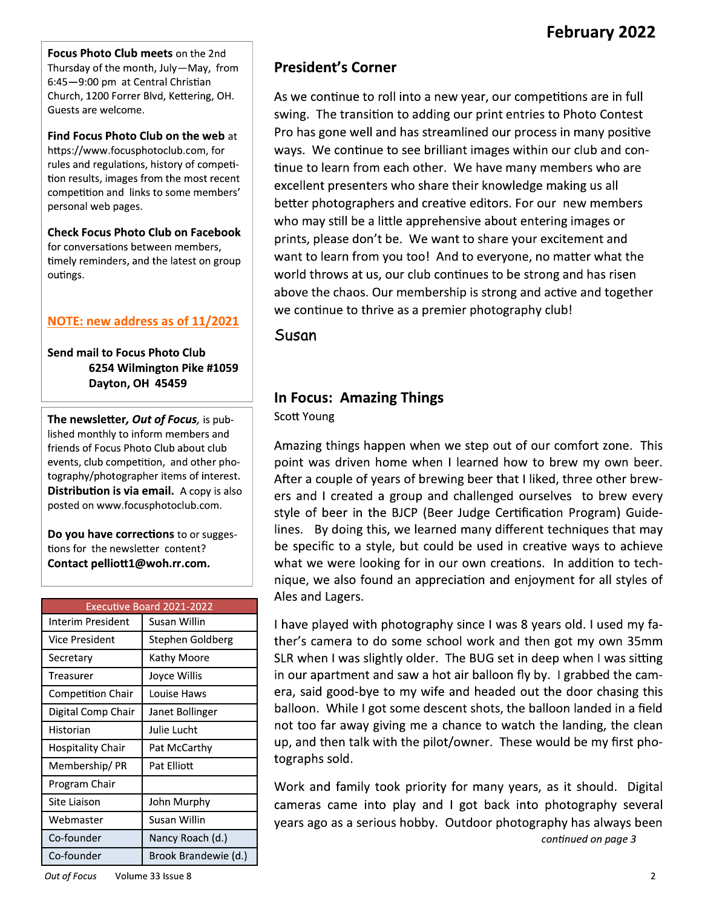Focus Photo Club meets on the 2nd Thursday of the month, July-May, from 6:45-9:00 pm at Central Christian Church, 1200 Forrer Blvd, Kettering, OH. Guests are welcome.

Find Focus Photo Club on the web at https://www.focusphotoclub.com, for rules and regulations, history of competition results, images from the most recent competition and links to some members' personal web pages.

**Check Focus Photo Club on Facebook** for conversations between members, timely reminders, and the latest on group outings.

#### NOTE: new address as of 11/2021

**Send mail to Focus Photo Club** 6254 Wilmington Pike #1059 Dayton, OH 45459

The newsletter, Out of Focus, is published monthly to inform members and friends of Focus Photo Club about club events, club competition, and other photography/photographer items of interest. Distribution is via email. A copy is also posted on www.focusphotoclub.com.

Do you have corrections to or suggestions for the newsletter content? Contact pelliott1@woh.rr.com.

|                          | Executive Board 2021-2022 |
|--------------------------|---------------------------|
| Interim President        | Susan Willin              |
| Vice President           | Stephen Goldberg          |
| Secretary                | Kathy Moore               |
| Treasurer                | Joyce Willis              |
| <b>Competition Chair</b> | Louise Haws               |
| Digital Comp Chair       | Janet Bollinger           |
| Historian                | Julie Lucht               |
| Hospitality Chair        | Pat McCarthy              |
| Membership/PR            | Pat Elliott               |
| Program Chair            |                           |
| Site Liaison             | John Murphy               |
| Webmaster                | Susan Willin              |
| Co-founder               | Nancy Roach (d.)          |
| Co-founder               | Brook Brandewie (d.)      |

#### **President's Corner**

As we continue to roll into a new year, our competitions are in full swing. The transition to adding our print entries to Photo Contest Pro has gone well and has streamlined our process in many positive ways. We continue to see brilliant images within our club and continue to learn from each other. We have many members who are excellent presenters who share their knowledge making us all better photographers and creative editors. For our new members who may still be a little apprehensive about entering images or prints, please don't be. We want to share your excitement and want to learn from you too! And to everyone, no matter what the world throws at us, our club continues to be strong and has risen above the chaos. Our membership is strong and active and together we continue to thrive as a premier photography club!

Susan

#### **In Focus: Amazing Things**

**Scott Young** 

Amazing things happen when we step out of our comfort zone. This point was driven home when I learned how to brew my own beer. After a couple of years of brewing beer that I liked, three other brewers and I created a group and challenged ourselves to brew every style of beer in the BJCP (Beer Judge Certification Program) Guidelines. By doing this, we learned many different techniques that may be specific to a style, but could be used in creative ways to achieve what we were looking for in our own creations. In addition to technique, we also found an appreciation and enjoyment for all styles of Ales and Lagers.

I have played with photography since I was 8 years old. I used my father's camera to do some school work and then got my own 35mm SLR when I was slightly older. The BUG set in deep when I was sitting in our apartment and saw a hot air balloon fly by. I grabbed the camera, said good-bye to my wife and headed out the door chasing this balloon. While I got some descent shots, the balloon landed in a field not too far away giving me a chance to watch the landing, the clean up, and then talk with the pilot/owner. These would be my first photographs sold.

Work and family took priority for many years, as it should. Digital cameras came into play and I got back into photography several years ago as a serious hobby. Outdoor photography has always been

continued on page 3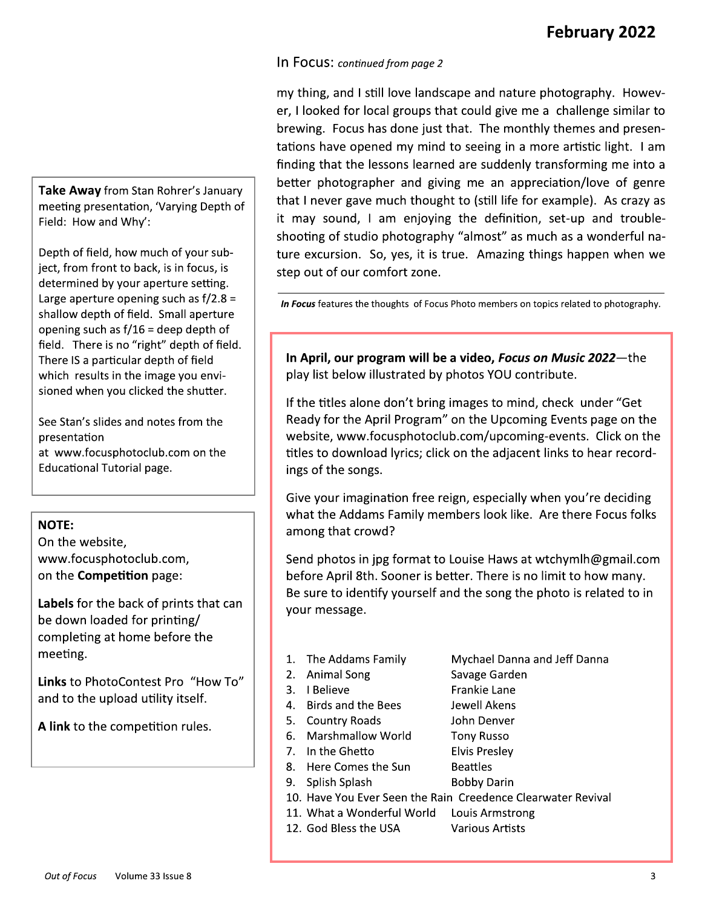#### In Focus: continued from page 2

my thing, and I still love landscape and nature photography. However, I looked for local groups that could give me a challenge similar to brewing. Focus has done just that. The monthly themes and presentations have opened my mind to seeing in a more artistic light. I am finding that the lessons learned are suddenly transforming me into a better photographer and giving me an appreciation/love of genre that I never gave much thought to (still life for example). As crazy as it may sound, I am enjoying the definition, set-up and troubleshooting of studio photography "almost" as much as a wonderful nature excursion. So, yes, it is true. Amazing things happen when we step out of our comfort zone.

In Focus features the thoughts of Focus Photo members on topics related to photography.

In April, our program will be a video, Focus on Music 2022-the play list below illustrated by photos YOU contribute.

If the titles alone don't bring images to mind, check under "Get Ready for the April Program" on the Upcoming Events page on the website, www.focusphotoclub.com/upcoming-events. Click on the titles to download lyrics; click on the adjacent links to hear recordings of the songs.

Give your imagination free reign, especially when you're deciding what the Addams Family members look like. Are there Focus folks among that crowd?

Send photos in jpg format to Louise Haws at wtchymlh@gmail.com before April 8th. Sooner is better. There is no limit to how many. Be sure to identify yourself and the song the photo is related to in your message.

- 1. The Addams Family
- 2. Animal Song
- 3. I Believe
- 4. Birds and the Bees
- 5. Country Roads
- 6. Marshmallow World 7. In the Ghetto
- 
- 8. Here Comes the Sun
- 9. Splish Splash
- 10. Have You Ever Seen the Rain Creedence Clearwater Revival
- 11. What a Wonderful World Louis Armstrong
- 12. God Bless the USA
- Mychael Danna and Jeff Danna
- Savage Garden
- **Frankie Lane** Jewell Akens
- 
- John Denver
- **Tony Russo**
- **Elvis Presley**
- **Beattles**
- 
- **Bobby Darin** 
	- **Various Artists**

Take Away from Stan Rohrer's January meeting presentation, 'Varying Depth of Field: How and Why':

Depth of field, how much of your subject, from front to back, is in focus, is determined by your aperture setting. Large aperture opening such as  $f/2.8 =$ shallow depth of field. Small aperture opening such as  $f/16$  = deep depth of field. There is no "right" depth of field. There IS a particular depth of field which results in the image you envisioned when you clicked the shutter.

See Stan's slides and notes from the presentation at www.focusphotoclub.com on the **Educational Tutorial page.** 

#### **NOTE:**

On the website, www.focusphotoclub.com, on the **Competition** page:

Labels for the back of prints that can be down loaded for printing/ completing at home before the meeting.

Links to PhotoContest Pro "How To" and to the upload utility itself.

A link to the competition rules.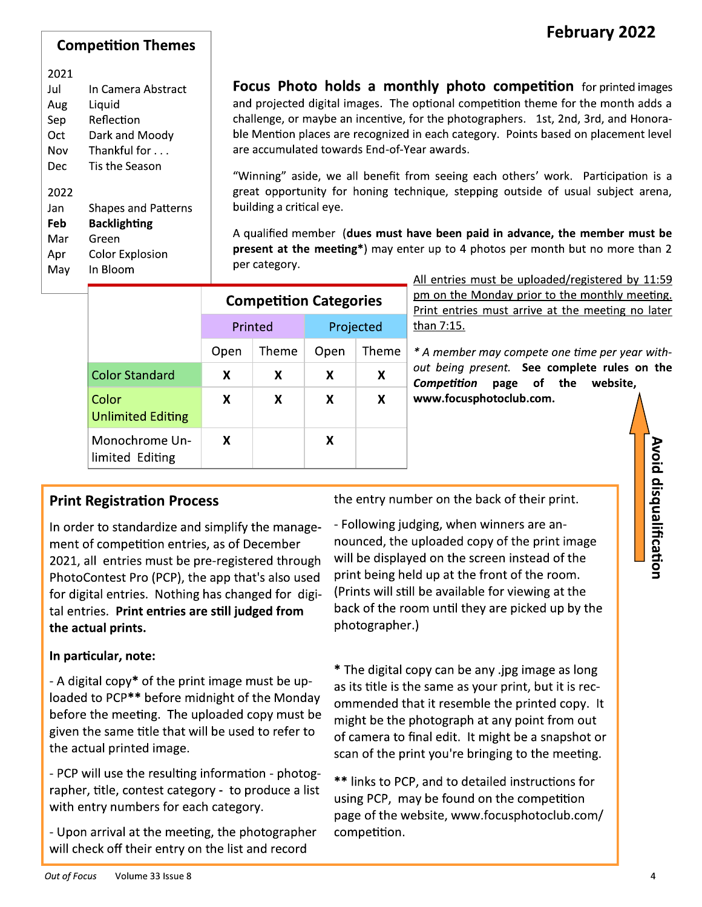#### **Competition Themes**

#### 2021

| Jul  | In Camera Abstract         |
|------|----------------------------|
| Aug  | Liquid                     |
| Sep  | Reflection                 |
| Oct  | Dark and Moody             |
| Nov  | Thankful for $\dots$       |
| Dec  | Tis the Season             |
| 2022 |                            |
| Jan  | <b>Shapes and Patterns</b> |
| Feb  | <b>Backlighting</b>        |
| Mar  | Green                      |
| Apr  | <b>Color Explosion</b>     |
| Mav  | In Bloom                   |

**Focus Photo holds a monthly photo competition** for printed images and projected digital images. The optional competition theme for the month adds a challenge, or maybe an incentive, for the photographers. 1st, 2nd, 3rd, and Honorable Mention places are recognized in each category. Points based on placement level are accumulated towards End-of-Year awards.

"Winning" aside, we all benefit from seeing each others' work. Participation is a great opportunity for honing technique, stepping outside of usual subject arena, building a critical eye.

A qualified member (dues must have been paid in advance, the member must be present at the meeting\*) may enter up to 4 photos per month but no more than 2 per category.

|                                   | <b>Competition Categories</b> |   |           |       |
|-----------------------------------|-------------------------------|---|-----------|-------|
|                                   | Printed                       |   | Projected |       |
|                                   | Theme<br>Open                 |   | Open      | Theme |
| <b>Color Standard</b>             | X                             | x | X         | X     |
| Color<br><b>Unlimited Editing</b> | X                             | X | X         | X     |
| Monochrome Un-<br>limited Editing | x                             |   | X         |       |

All entries must be uploaded/registered by 11:59 pm on the Monday prior to the monthly meeting. Print entries must arrive at the meeting no later than 7:15.

\* A member may compete one time per year without being present. See complete rules on the Competition page of the website, www.focusphotoclub.com.

#### **Print Registration Process**

In order to standardize and simplify the management of competition entries, as of December 2021, all entries must be pre-registered through PhotoContest Pro (PCP), the app that's also used for digital entries. Nothing has changed for digital entries. Print entries are still judged from the actual prints.

#### In particular, note:

- A digital copy\* of the print image must be uploaded to PCP\*\* before midnight of the Monday before the meeting. The uploaded copy must be given the same title that will be used to refer to the actual printed image.

- PCP will use the resulting information - photographer, title, contest category - to produce a list with entry numbers for each category.

- Upon arrival at the meeting, the photographer will check off their entry on the list and record

the entry number on the back of their print.

- Following judging, when winners are announced, the uploaded copy of the print image will be displayed on the screen instead of the print being held up at the front of the room. (Prints will still be available for viewing at the back of the room until they are picked up by the photographer.)

\* The digital copy can be any .jpg image as long as its title is the same as your print, but it is recommended that it resemble the printed copy. It might be the photograph at any point from out of camera to final edit. It might be a snapshot or scan of the print you're bringing to the meeting.

\*\* links to PCP, and to detailed instructions for using PCP, may be found on the competition page of the website, www.focusphotoclub.com/ competition.

Avoid disqualification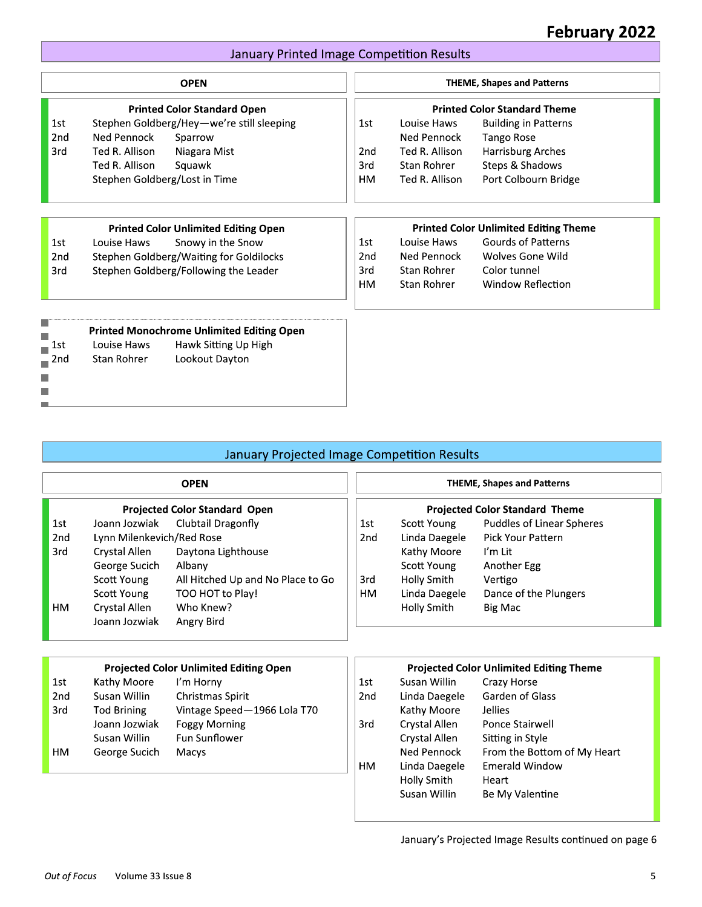#### January Printed Image Competition Results

|                                              |           | <b>January Printed Image Competition Results</b> |                 |
|----------------------------------------------|-----------|--------------------------------------------------|-----------------|
| <b>THEME, Shapes and Patterns</b>            |           | <b>OPEN</b>                                      |                 |
| <b>Printed Color Standard Theme</b>          |           | <b>Printed Color Standard Open</b>               |                 |
| Louise Haws<br><b>Building in Patterns</b>   | 1st       | Stephen Goldberg/Hey-we're still sleeping        | 1st             |
| Ned Pennock<br><b>Tango Rose</b>             |           | Ned Pennock<br>Sparrow                           | 2 <sub>nd</sub> |
| <b>Harrisburg Arches</b><br>Ted R. Allison   | 2nd       | Ted R. Allison<br>Niagara Mist                   | 3rd             |
| Steps & Shadows<br>Stan Rohrer               | 3rd       | Ted R. Allison<br>Squawk                         |                 |
| Port Colbourn Bridge<br>Ted R. Allison       | <b>HM</b> | Stephen Goldberg/Lost in Time                    |                 |
| <b>Printed Color Unlimited Editing Theme</b> |           | <b>Printed Color Unlimited Editing Open</b>      |                 |
| <b>Gourds of Patterns</b><br>Louise Haws     | 1st       | Snowy in the Snow<br>Louise Haws                 | 1st             |
| Ned Pennock<br>Wolves Gone Wild              | 2nd       | Stephen Goldberg/Waiting for Goldilocks          | 2nd             |
| Stan Rohrer<br>Color tunnel                  | 3rd       | Stephen Goldberg/Following the Leader            | 3rd             |
| Stan Rohrer<br><b>Window Reflection</b>      | <b>HM</b> |                                                  |                 |
|                                              |           |                                                  |                 |
|                                              |           | Louise Haws<br>Hawk Sitting Up High              | 1st             |
|                                              |           | Lookout Dayton<br>Stan Rohrer                    | 2nd             |
|                                              |           |                                                  |                 |
|                                              |           | <b>Printed Monochrome Unlimited Editing Open</b> |                 |

#### January Projected Image Competition Results

|                 |                           | January Projected Image Competition Results   |                 |               |                                                |
|-----------------|---------------------------|-----------------------------------------------|-----------------|---------------|------------------------------------------------|
|                 |                           | <b>OPEN</b>                                   |                 |               | <b>THEME, Shapes and Patterns</b>              |
|                 |                           | <b>Projected Color Standard Open</b>          |                 |               | <b>Projected Color Standard Theme</b>          |
| 1st             | Joann Jozwiak             | Clubtail Dragonfly                            | 1st             | Scott Young   | <b>Puddles of Linear Spheres</b>               |
| 2nd             | Lynn Milenkevich/Red Rose |                                               | 2 <sub>nd</sub> | Linda Daegele | <b>Pick Your Pattern</b>                       |
| 3rd             | Crystal Allen             | Daytona Lighthouse                            |                 | Kathy Moore   | I'm Lit                                        |
|                 | George Sucich             | Albany                                        |                 | Scott Young   | Another Egg                                    |
|                 | <b>Scott Young</b>        | All Hitched Up and No Place to Go             | 3rd             | Holly Smith   | Vertigo                                        |
|                 | Scott Young               | TOO HOT to Play!                              | HM              | Linda Daegele | Dance of the Plungers                          |
| HМ              | Crystal Allen             | Who Knew?                                     |                 | Holly Smith   | Big Mac                                        |
|                 | Joann Jozwiak             | Angry Bird                                    |                 |               |                                                |
|                 |                           |                                               |                 |               |                                                |
|                 |                           | <b>Projected Color Unlimited Editing Open</b> |                 |               | <b>Projected Color Unlimited Editing Theme</b> |
| 1st             | Kathy Moore               | I'm Horny                                     | 1st             | Susan Willin  | Crazy Horse                                    |
| 2 <sub>nd</sub> | Susan Willin              | Christmas Spirit                              | 2nd             | Linda Daegele | Garden of Glass                                |
| 3rd             | <b>Tod Brining</b>        | Vintage Speed-1966 Lola T70                   |                 | Kathy Moore   | <b>Jellies</b>                                 |
|                 | Joann Jozwiak             | <b>Foggy Morning</b>                          | 3rd             | Crystal Allen | Ponce Stairwell                                |
|                 | Susan Willin              | <b>Fun Sunflower</b>                          |                 | Crystal Allen | Sitting in Style                               |
| HM.             | George Sucich             | Macys                                         |                 | Ned Pennock   | From the Bottom of My Heart                    |
|                 |                           |                                               | <b>HM</b>       | Linda Daegele | <b>Emerald Window</b>                          |
|                 |                           |                                               |                 | Holly Smith   | Heart                                          |

Holly Smith<br>Susan Willin

January's Projected Image Results continued on page 6

Be My Valentine